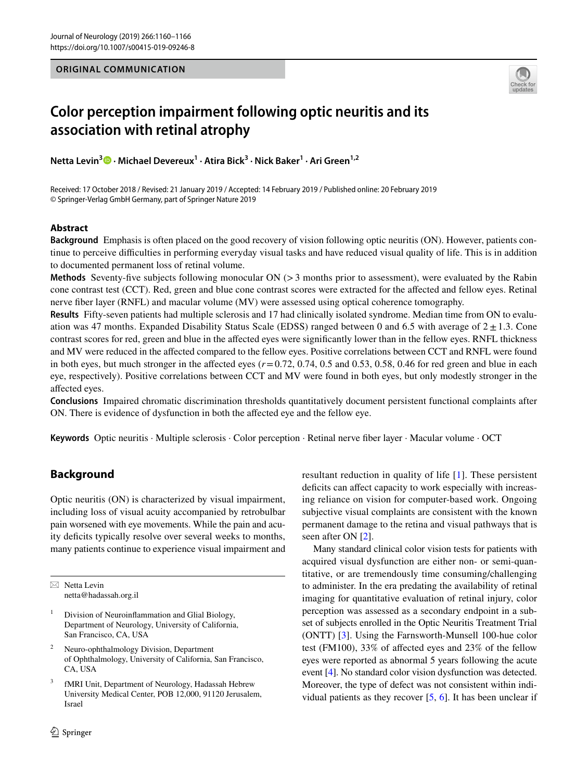#### **ORIGINAL COMMUNICATION**



# **Color perception impairment following optic neuritis and its association with retinal atrophy**

**Netta Levin3  [·](http://orcid.org/0000-0002-6111-6475) Michael Devereux1 · Atira Bick3 · Nick Baker1 · Ari Green1,2**

Received: 17 October 2018 / Revised: 21 January 2019 / Accepted: 14 February 2019 / Published online: 20 February 2019 © Springer-Verlag GmbH Germany, part of Springer Nature 2019

## **Abstract**

**Background** Emphasis is often placed on the good recovery of vision following optic neuritis (ON). However, patients continue to perceive difficulties in performing everyday visual tasks and have reduced visual quality of life. This is in addition to documented permanent loss of retinal volume.

**Methods** Seventy-five subjects following monocular ON (>3 months prior to assessment), were evaluated by the Rabin cone contrast test (CCT). Red, green and blue cone contrast scores were extracted for the affected and fellow eyes. Retinal nerve fiber layer (RNFL) and macular volume (MV) were assessed using optical coherence tomography.

**Results** Fifty-seven patients had multiple sclerosis and 17 had clinically isolated syndrome. Median time from ON to evaluation was 47 months. Expanded Disability Status Scale (EDSS) ranged between 0 and 6.5 with average of  $2 \pm 1.3$ . Cone contrast scores for red, green and blue in the affected eyes were significantly lower than in the fellow eyes. RNFL thickness and MV were reduced in the affected compared to the fellow eyes. Positive correlations between CCT and RNFL were found in both eyes, but much stronger in the affected eyes  $(r=0.72, 0.74, 0.5, 0.53, 0.58, 0.46$  for red green and blue in each eye, respectively). Positive correlations between CCT and MV were found in both eyes, but only modestly stronger in the affected eyes.

**Conclusions** Impaired chromatic discrimination thresholds quantitatively document persistent functional complaints after ON. There is evidence of dysfunction in both the affected eye and the fellow eye.

**Keywords** Optic neuritis · Multiple sclerosis · Color perception · Retinal nerve fiber layer · Macular volume · OCT

# **Background**

Optic neuritis (ON) is characterized by visual impairment, including loss of visual acuity accompanied by retrobulbar pain worsened with eye movements. While the pain and acuity deficits typically resolve over several weeks to months, many patients continue to experience visual impairment and

 $\boxtimes$  Netta Levin netta@hadassah.org.il

- Division of Neuroinflammation and Glial Biology, Department of Neurology, University of California, San Francisco, CA, USA
- <sup>2</sup> Neuro-ophthalmology Division, Department of Ophthalmology, University of California, San Francisco, CA, USA
- fMRI Unit, Department of Neurology, Hadassah Hebrew University Medical Center, POB 12,000, 91120 Jerusalem, Israel

resultant reduction in quality of life [\[1\]](#page-6-0). These persistent deficits can affect capacity to work especially with increasing reliance on vision for computer-based work. Ongoing subjective visual complaints are consistent with the known permanent damage to the retina and visual pathways that is seen after ON [[2](#page-6-1)].

Many standard clinical color vision tests for patients with acquired visual dysfunction are either non- or semi-quantitative, or are tremendously time consuming/challenging to administer. In the era predating the availability of retinal imaging for quantitative evaluation of retinal injury, color perception was assessed as a secondary endpoint in a subset of subjects enrolled in the Optic Neuritis Treatment Trial (ONTT) [[3](#page-6-2)]. Using the Farnsworth-Munsell 100-hue color test (FM100), 33% of affected eyes and 23% of the fellow eyes were reported as abnormal 5 years following the acute event [\[4](#page-6-3)]. No standard color vision dysfunction was detected. Moreover, the type of defect was not consistent within individual patients as they recover [[5,](#page-6-4) [6](#page-6-5)]. It has been unclear if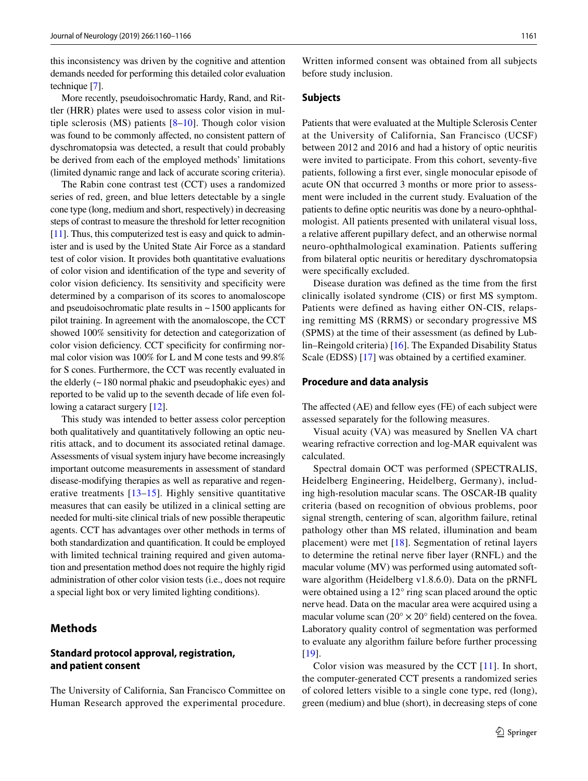this inconsistency was driven by the cognitive and attention demands needed for performing this detailed color evaluation technique [\[7](#page-6-6)].

More recently, pseudoisochromatic Hardy, Rand, and Rittler (HRR) plates were used to assess color vision in multiple sclerosis (MS) patients [[8–](#page-6-7)[10](#page-6-8)]. Though color vision was found to be commonly affected, no consistent pattern of dyschromatopsia was detected, a result that could probably be derived from each of the employed methods' limitations (limited dynamic range and lack of accurate scoring criteria).

The Rabin cone contrast test (CCT) uses a randomized series of red, green, and blue letters detectable by a single cone type (long, medium and short, respectively) in decreasing steps of contrast to measure the threshold for letter recognition [\[11](#page-6-9)]. Thus, this computerized test is easy and quick to administer and is used by the United State Air Force as a standard test of color vision. It provides both quantitative evaluations of color vision and identification of the type and severity of color vision deficiency. Its sensitivity and specificity were determined by a comparison of its scores to anomaloscope and pseudoisochromatic plate results in  $\sim$  1500 applicants for pilot training. In agreement with the anomaloscope, the CCT showed 100% sensitivity for detection and categorization of color vision deficiency. CCT specificity for confirming normal color vision was 100% for L and M cone tests and 99.8% for S cones. Furthermore, the CCT was recently evaluated in the elderly  $($   $\sim$  180 normal phakic and pseudophakic eyes) and reported to be valid up to the seventh decade of life even following a cataract surgery [\[12](#page-6-10)].

This study was intended to better assess color perception both qualitatively and quantitatively following an optic neuritis attack, and to document its associated retinal damage. Assessments of visual system injury have become increasingly important outcome measurements in assessment of standard disease-modifying therapies as well as reparative and regenerative treatments [[13](#page-6-11)[–15\]](#page-6-12). Highly sensitive quantitative measures that can easily be utilized in a clinical setting are needed for multi-site clinical trials of new possible therapeutic agents. CCT has advantages over other methods in terms of both standardization and quantification. It could be employed with limited technical training required and given automation and presentation method does not require the highly rigid administration of other color vision tests (i.e., does not require a special light box or very limited lighting conditions).

# **Methods**

#### **Standard protocol approval, registration, and patient consent**

The University of California, San Francisco Committee on Human Research approved the experimental procedure.

Written informed consent was obtained from all subjects before study inclusion.

#### **Subjects**

Patients that were evaluated at the Multiple Sclerosis Center at the University of California, San Francisco (UCSF) between 2012 and 2016 and had a history of optic neuritis were invited to participate. From this cohort, seventy-five patients, following a first ever, single monocular episode of acute ON that occurred 3 months or more prior to assessment were included in the current study. Evaluation of the patients to define optic neuritis was done by a neuro-ophthalmologist. All patients presented with unilateral visual loss, a relative afferent pupillary defect, and an otherwise normal neuro-ophthalmological examination. Patients suffering from bilateral optic neuritis or hereditary dyschromatopsia were specifically excluded.

Disease duration was defined as the time from the first clinically isolated syndrome (CIS) or first MS symptom. Patients were defined as having either ON-CIS, relapsing remitting MS (RRMS) or secondary progressive MS (SPMS) at the time of their assessment (as defined by Lublin–Reingold criteria) [[16\]](#page-6-13). The Expanded Disability Status Scale (EDSS) [[17\]](#page-6-14) was obtained by a certified examiner.

#### **Procedure and data analysis**

The affected (AE) and fellow eyes (FE) of each subject were assessed separately for the following measures.

Visual acuity (VA) was measured by Snellen VA chart wearing refractive correction and log-MAR equivalent was calculated.

Spectral domain OCT was performed (SPECTRALIS, Heidelberg Engineering, Heidelberg, Germany), including high-resolution macular scans. The OSCAR-IB quality criteria (based on recognition of obvious problems, poor signal strength, centering of scan, algorithm failure, retinal pathology other than MS related, illumination and beam placement) were met [[18](#page-6-15)]. Segmentation of retinal layers to determine the retinal nerve fiber layer (RNFL) and the macular volume (MV) was performed using automated software algorithm (Heidelberg v1.8.6.0). Data on the pRNFL were obtained using a 12° ring scan placed around the optic nerve head. Data on the macular area were acquired using a macular volume scan  $(20^{\circ} \times 20^{\circ})$  field) centered on the fovea. Laboratory quality control of segmentation was performed to evaluate any algorithm failure before further processing [[19\]](#page-6-16).

Color vision was measured by the CCT [[11\]](#page-6-9). In short, the computer-generated CCT presents a randomized series of colored letters visible to a single cone type, red (long), green (medium) and blue (short), in decreasing steps of cone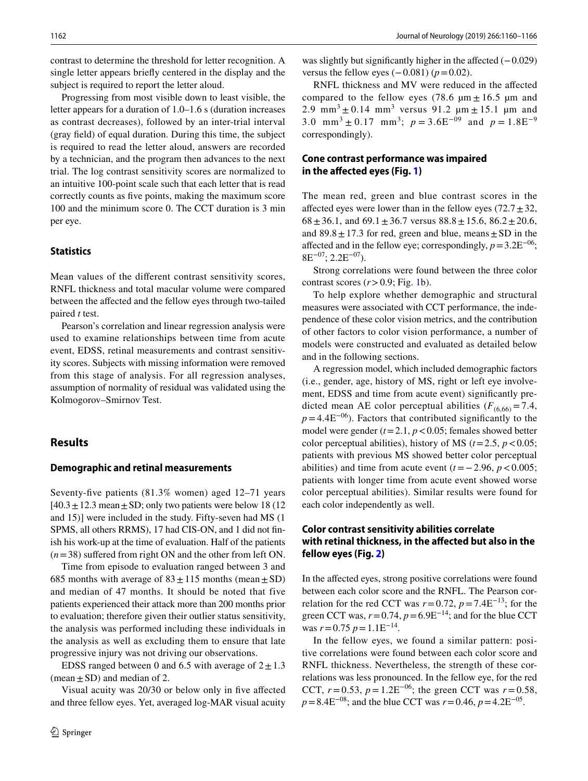contrast to determine the threshold for letter recognition. A single letter appears briefly centered in the display and the subject is required to report the letter aloud.

Progressing from most visible down to least visible, the letter appears for a duration of 1.0–1.6 s (duration increases as contrast decreases), followed by an inter-trial interval (gray field) of equal duration. During this time, the subject is required to read the letter aloud, answers are recorded by a technician, and the program then advances to the next trial. The log contrast sensitivity scores are normalized to an intuitive 100-point scale such that each letter that is read correctly counts as five points, making the maximum score 100 and the minimum score 0. The CCT duration is 3 min per eye.

#### **Statistics**

Mean values of the different contrast sensitivity scores, RNFL thickness and total macular volume were compared between the affected and the fellow eyes through two-tailed paired *t* test.

Pearson's correlation and linear regression analysis were used to examine relationships between time from acute event, EDSS, retinal measurements and contrast sensitivity scores. Subjects with missing information were removed from this stage of analysis. For all regression analyses, assumption of normality of residual was validated using the Kolmogorov–Smirnov Test.

#### **Results**

#### **Demographic and retinal measurements**

Seventy-five patients (81.3% women) aged 12–71 years  $[40.3 \pm 12.3 \text{ mean} \pm \text{SD}$ ; only two patients were below 18 (12) and 15)] were included in the study. Fifty-seven had MS (1 SPMS, all others RRMS), 17 had CIS-ON, and 1 did not finish his work-up at the time of evaluation. Half of the patients (*n*=38) suffered from right ON and the other from left ON.

Time from episode to evaluation ranged between 3 and 685 months with average of  $83 \pm 115$  months (mean  $\pm$  SD) and median of 47 months. It should be noted that five patients experienced their attack more than 200 months prior to evaluation; therefore given their outlier status sensitivity, the analysis was performed including these individuals in the analysis as well as excluding them to ensure that late progressive injury was not driving our observations.

EDSS ranged between 0 and 6.5 with average of  $2 \pm 1.3$ (mean  $\pm$  SD) and median of 2.

Visual acuity was 20/30 or below only in five affected and three fellow eyes. Yet, averaged log-MAR visual acuity

was slightly but significantly higher in the affected  $(-0.029)$ versus the fellow eyes  $(-0.081)$  ( $p=0.02$ ).

RNFL thickness and MV were reduced in the affected compared to the fellow eyes (78.6  $\mu$ m  $\pm$  16.5  $\mu$ m and 2.9 mm<sup>3</sup>  $\pm$  0.14 mm<sup>3</sup> versus 91.2  $\mu$ m  $\pm$  15.1  $\mu$ m and 3.0 mm<sup>3</sup> ± 0.17 mm<sup>3</sup>;  $p = 3.6E^{-09}$  and  $p = 1.8E^{-9}$ correspondingly).

# **Cone contrast performance was impaired in the affected eyes (Fig. [1](#page-3-0))**

The mean red, green and blue contrast scores in the affected eyes were lower than in the fellow eyes  $(72.7 \pm 32,$  $68 \pm 36.1$ , and  $69.1 \pm 36.7$  versus  $88.8 \pm 15.6$ ,  $86.2 \pm 20.6$ , and  $89.8 \pm 17.3$  for red, green and blue, means  $\pm$  SD in the affected and in the fellow eye; correspondingly,  $p=3.2E^{-06}$ ;  $8E^{-07}$ ; 2.2 $E^{-07}$ ).

Strong correlations were found between the three color contrast scores  $(r>0.9;$  Fig. [1](#page-3-0)b).

To help explore whether demographic and structural measures were associated with CCT performance, the independence of these color vision metrics, and the contribution of other factors to color vision performance, a number of models were constructed and evaluated as detailed below and in the following sections.

A regression model, which included demographic factors (i.e., gender, age, history of MS, right or left eye involvement, EDSS and time from acute event) significantly predicted mean AE color perceptual abilities  $(F_{(6,66)} = 7.4$ ,  $p=4.4E^{-06}$ ). Factors that contributed significantly to the model were gender  $(t=2.1, p<0.05$ ; females showed better color perceptual abilities), history of MS ( $t = 2.5$ ,  $p < 0.05$ ; patients with previous MS showed better color perceptual abilities) and time from acute event  $(t=-2.96, p<0.005;$ patients with longer time from acute event showed worse color perceptual abilities). Similar results were found for each color independently as well.

# **Color contrast sensitivity abilities correlate with retinal thickness, in the affected but also in the fellow eyes (Fig. [2\)](#page-4-0)**

In the affected eyes, strong positive correlations were found between each color score and the RNFL. The Pearson correlation for the red CCT was  $r=0.72$ ,  $p=7.4E^{-13}$ ; for the green CCT was,  $r=0.74$ ,  $p=6.9E^{-14}$ ; and for the blue CCT was  $r = 0.75$   $p = 1.1E^{-14}$ .

In the fellow eyes, we found a similar pattern: positive correlations were found between each color score and RNFL thickness. Nevertheless, the strength of these correlations was less pronounced. In the fellow eye, for the red CCT,  $r = 0.53$ ,  $p = 1.2E^{-06}$ ; the green CCT was  $r = 0.58$ ,  $p=8.4E^{-08}$ ; and the blue CCT was  $r=0.46$ ,  $p=4.2E^{-05}$ .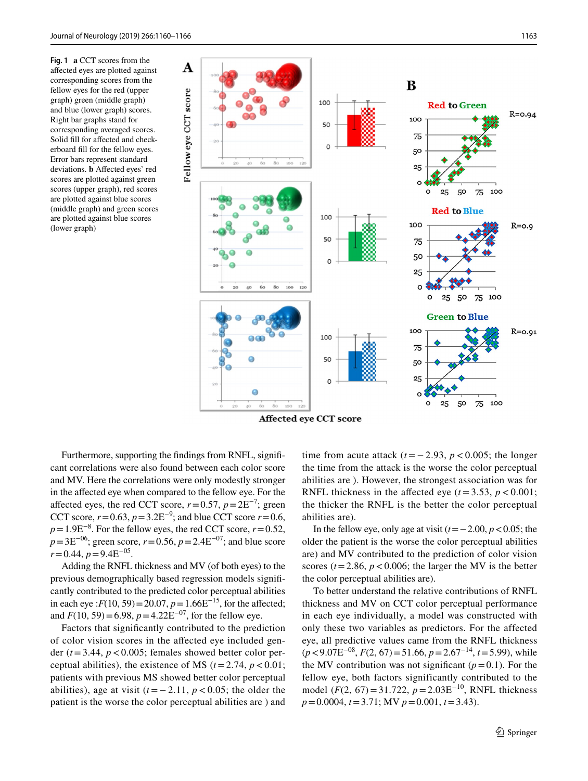<span id="page-3-0"></span>**Fig. 1 a** CCT scores from the affected eyes are plotted against corresponding scores from the fellow eyes for the red (upper graph) green (middle graph) and blue (lower graph) scores. Right bar graphs stand for corresponding averaged scores. Solid fill for affected and checkerboard fill for the fellow eyes. Error bars represent standard deviations. **b** Affected eyes' red scores are plotted against green scores (upper graph), red scores are plotted against blue scores (middle graph) and green scores are plotted against blue scores (lower graph)



Affected eye CCT score

Furthermore, supporting the findings from RNFL, significant correlations were also found between each color score and MV. Here the correlations were only modestly stronger in the affected eye when compared to the fellow eye. For the affected eyes, the red CCT score,  $r=0.57$ ,  $p=2E^{-7}$ ; green CCT score,  $r = 0.63$ ,  $p = 3.2E^{-9}$ ; and blue CCT score  $r = 0.6$ ,  $p=1.9E^{-8}$ . For the fellow eyes, the red CCT score,  $r=0.52$ , *p*=3E<sup>−06</sup>; green score, *r* = 0.56, *p* = 2.4E<sup>−07</sup>; and blue score *r*=0.44, *p*=9.4E−05.

Adding the RNFL thickness and MV (of both eyes) to the previous demographically based regression models significantly contributed to the predicted color perceptual abilities in each eye : $F(10, 59) = 20.07$ ,  $p = 1.66E^{-15}$ , for the affected; and  $F(10, 59) = 6.98$ ,  $p = 4.22E^{-07}$ , for the fellow eye.

Factors that significantly contributed to the prediction of color vision scores in the affected eye included gender (*t*=3.44, *p*<0.005; females showed better color perceptual abilities), the existence of MS  $(t=2.74, p<0.01;$ patients with previous MS showed better color perceptual abilities), age at visit  $(t = -2.11, p < 0.05$ ; the older the patient is the worse the color perceptual abilities are ) and time from acute attack  $(t = -2.93, p < 0.005$ ; the longer the time from the attack is the worse the color perceptual abilities are ). However, the strongest association was for RNFL thickness in the affected eye  $(t = 3.53, p < 0.001;$ the thicker the RNFL is the better the color perceptual abilities are).

In the fellow eye, only age at visit (*t*=−2.00, *p*<0.05; the older the patient is the worse the color perceptual abilities are) and MV contributed to the prediction of color vision scores  $(t = 2.86, p < 0.006$ ; the larger the MV is the better the color perceptual abilities are).

To better understand the relative contributions of RNFL thickness and MV on CCT color perceptual performance in each eye individually, a model was constructed with only these two variables as predictors. For the affected eye, all predictive values came from the RNFL thickness (*p*<9.07E−08, *F*(2, 67)=51.66, *p*=2.67−14, *t*=5.99), while the MV contribution was not significant  $(p=0.1)$ . For the fellow eye, both factors significantly contributed to the model (*F*(2, 67)=31.722, *p*=2.03E−10, RNFL thickness *p*=0.0004, *t*=3.71; MV *p*=0.001, *t*=3.43).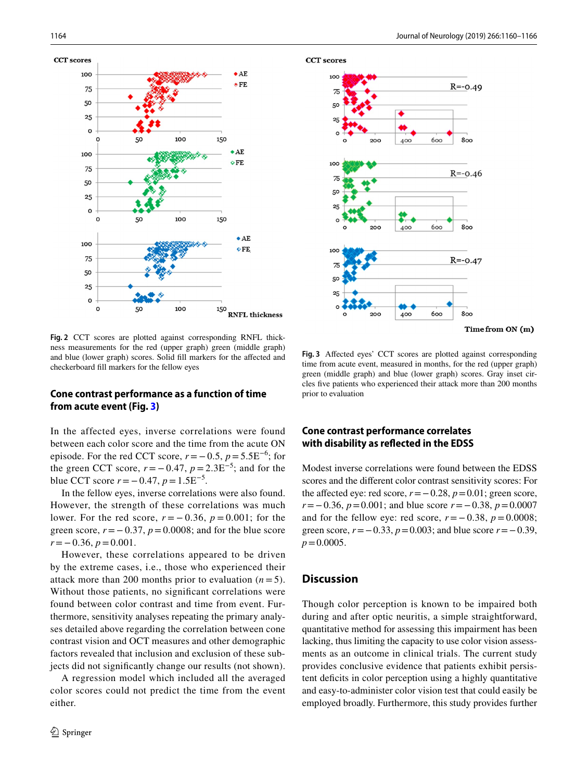

<span id="page-4-0"></span>**Fig. 2** CCT scores are plotted against corresponding RNFL thickness measurements for the red (upper graph) green (middle graph) and blue (lower graph) scores. Solid fill markers for the affected and checkerboard fill markers for the fellow eyes

## **Cone contrast performance as a function of time from acute event (Fig. [3](#page-4-1))**

In the affected eyes, inverse correlations were found between each color score and the time from the acute ON episode. For the red CCT score,  $r = -0.5$ ,  $p = 5.5E^{-6}$ ; for the green CCT score,  $r = -0.47$ ,  $p = 2.3E^{-5}$ ; and for the blue CCT score  $r = -0.47$ ,  $p = 1.5E^{-5}$ .

In the fellow eyes, inverse correlations were also found. However, the strength of these correlations was much lower. For the red score,  $r = -0.36$ ,  $p = 0.001$ ; for the green score,  $r = -0.37$ ,  $p = 0.0008$ ; and for the blue score *r*=−0.36, *p*=0.001.

However, these correlations appeared to be driven by the extreme cases, i.e., those who experienced their attack more than 200 months prior to evaluation  $(n=5)$ . Without those patients, no significant correlations were found between color contrast and time from event. Furthermore, sensitivity analyses repeating the primary analyses detailed above regarding the correlation between cone contrast vision and OCT measures and other demographic factors revealed that inclusion and exclusion of these subjects did not significantly change our results (not shown).

A regression model which included all the averaged color scores could not predict the time from the event either.



**CCT** scores

Time from ON (m)

<span id="page-4-1"></span>**Fig. 3** Affected eyes' CCT scores are plotted against corresponding time from acute event, measured in months, for the red (upper graph) green (middle graph) and blue (lower graph) scores. Gray inset circles five patients who experienced their attack more than 200 months prior to evaluation

# **Cone contrast performance correlates with disability as reflected in the EDSS**

Modest inverse correlations were found between the EDSS scores and the different color contrast sensitivity scores: For the affected eye: red score,  $r = -0.28$ ,  $p = 0.01$ ; green score, *r*=−0.36, *p*=0.001; and blue score *r*=−0.38, *p*=0.0007 and for the fellow eye: red score,  $r = -0.38$ ,  $p = 0.0008$ ; green score, *r*=−0.33, *p*=0.003; and blue score *r*=−0.39,  $p = 0.0005$ .

### **Discussion**

Though color perception is known to be impaired both during and after optic neuritis, a simple straightforward, quantitative method for assessing this impairment has been lacking, thus limiting the capacity to use color vision assessments as an outcome in clinical trials. The current study provides conclusive evidence that patients exhibit persistent deficits in color perception using a highly quantitative and easy-to-administer color vision test that could easily be employed broadly. Furthermore, this study provides further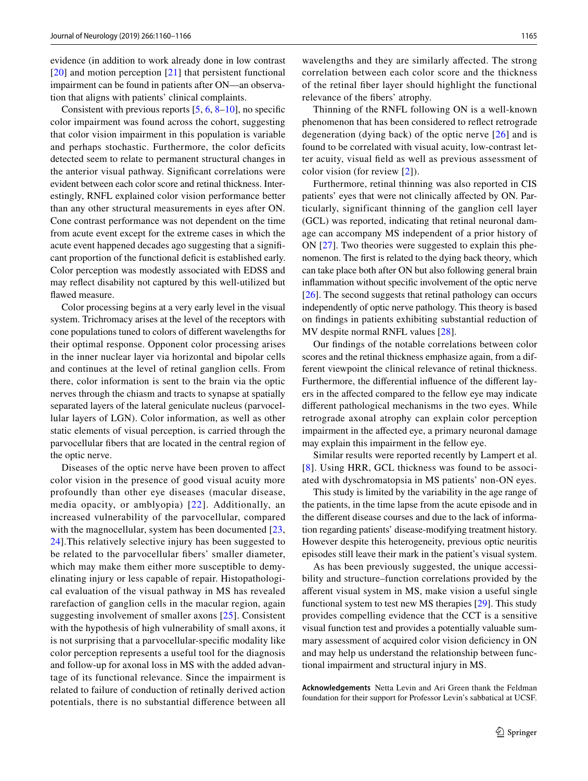evidence (in addition to work already done in low contrast [\[20\]](#page-6-17) and motion perception [\[21](#page-6-18)] that persistent functional impairment can be found in patients after ON—an observation that aligns with patients' clinical complaints.

Consistent with previous reports  $[5, 6, 8-10]$  $[5, 6, 8-10]$  $[5, 6, 8-10]$  $[5, 6, 8-10]$  $[5, 6, 8-10]$  $[5, 6, 8-10]$ , no specific color impairment was found across the cohort, suggesting that color vision impairment in this population is variable and perhaps stochastic. Furthermore, the color deficits detected seem to relate to permanent structural changes in the anterior visual pathway. Significant correlations were evident between each color score and retinal thickness. Interestingly, RNFL explained color vision performance better than any other structural measurements in eyes after ON. Cone contrast performance was not dependent on the time from acute event except for the extreme cases in which the acute event happened decades ago suggesting that a significant proportion of the functional deficit is established early. Color perception was modestly associated with EDSS and may reflect disability not captured by this well-utilized but flawed measure.

Color processing begins at a very early level in the visual system. Trichromacy arises at the level of the receptors with cone populations tuned to colors of different wavelengths for their optimal response. Opponent color processing arises in the inner nuclear layer via horizontal and bipolar cells and continues at the level of retinal ganglion cells. From there, color information is sent to the brain via the optic nerves through the chiasm and tracts to synapse at spatially separated layers of the lateral geniculate nucleus (parvocellular layers of LGN). Color information, as well as other static elements of visual perception, is carried through the parvocellular fibers that are located in the central region of the optic nerve.

Diseases of the optic nerve have been proven to affect color vision in the presence of good visual acuity more profoundly than other eye diseases (macular disease, media opacity, or amblyopia) [[22\]](#page-6-19). Additionally, an increased vulnerability of the parvocellular, compared with the magnocellular, system has been documented  $[23, 12]$  $[23, 12]$ [24](#page-6-21)].This relatively selective injury has been suggested to be related to the parvocellular fibers' smaller diameter, which may make them either more susceptible to demyelinating injury or less capable of repair. Histopathological evaluation of the visual pathway in MS has revealed rarefaction of ganglion cells in the macular region, again suggesting involvement of smaller axons [[25\]](#page-6-22). Consistent with the hypothesis of high vulnerability of small axons, it is not surprising that a parvocellular-specific modality like color perception represents a useful tool for the diagnosis and follow-up for axonal loss in MS with the added advantage of its functional relevance. Since the impairment is related to failure of conduction of retinally derived action potentials, there is no substantial difference between all wavelengths and they are similarly affected. The strong correlation between each color score and the thickness of the retinal fiber layer should highlight the functional relevance of the fibers' atrophy.

Thinning of the RNFL following ON is a well-known phenomenon that has been considered to reflect retrograde degeneration (dying back) of the optic nerve [[26\]](#page-6-23) and is found to be correlated with visual acuity, low-contrast letter acuity, visual field as well as previous assessment of color vision (for review [\[2\]](#page-6-1)).

Furthermore, retinal thinning was also reported in CIS patients' eyes that were not clinically affected by ON. Particularly, significant thinning of the ganglion cell layer (GCL) was reported, indicating that retinal neuronal damage can accompany MS independent of a prior history of ON [[27\]](#page-6-24). Two theories were suggested to explain this phenomenon. The first is related to the dying back theory, which can take place both after ON but also following general brain inflammation without specific involvement of the optic nerve [[26\]](#page-6-23). The second suggests that retinal pathology can occurs independently of optic nerve pathology. This theory is based on findings in patients exhibiting substantial reduction of MV despite normal RNFL values [[28\]](#page-6-25).

Our findings of the notable correlations between color scores and the retinal thickness emphasize again, from a different viewpoint the clinical relevance of retinal thickness. Furthermore, the differential influence of the different layers in the affected compared to the fellow eye may indicate different pathological mechanisms in the two eyes. While retrograde axonal atrophy can explain color perception impairment in the affected eye, a primary neuronal damage may explain this impairment in the fellow eye.

Similar results were reported recently by Lampert et al. [[8\]](#page-6-7). Using HRR, GCL thickness was found to be associated with dyschromatopsia in MS patients' non-ON eyes.

This study is limited by the variability in the age range of the patients, in the time lapse from the acute episode and in the different disease courses and due to the lack of information regarding patients' disease-modifying treatment history. However despite this heterogeneity, previous optic neuritis episodes still leave their mark in the patient's visual system.

As has been previously suggested, the unique accessibility and structure–function correlations provided by the afferent visual system in MS, make vision a useful single functional system to test new MS therapies [[29\]](#page-6-26). This study provides compelling evidence that the CCT is a sensitive visual function test and provides a potentially valuable summary assessment of acquired color vision deficiency in ON and may help us understand the relationship between functional impairment and structural injury in MS.

**Acknowledgements** Netta Levin and Ari Green thank the Feldman foundation for their support for Professor Levin's sabbatical at UCSF.